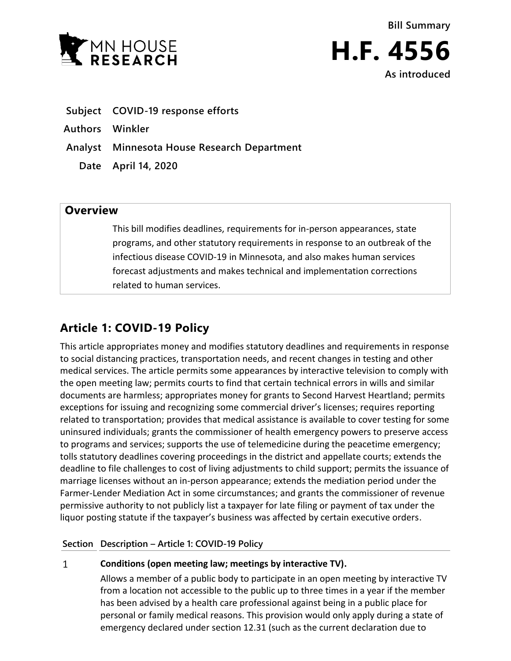



- **Subject COVID-19 response efforts**
- **Authors Winkler**
- **Analyst Minnesota House Research Department**
	- **Date April 14, 2020**

## **Overview**

This bill modifies deadlines, requirements for in-person appearances, state programs, and other statutory requirements in response to an outbreak of the infectious disease COVID-19 in Minnesota, and also makes human services forecast adjustments and makes technical and implementation corrections related to human services.

# **Article 1: COVID-19 Policy**

This article appropriates money and modifies statutory deadlines and requirements in response to social distancing practices, transportation needs, and recent changes in testing and other medical services. The article permits some appearances by interactive television to comply with the open meeting law; permits courts to find that certain technical errors in wills and similar documents are harmless; appropriates money for grants to Second Harvest Heartland; permits exceptions for issuing and recognizing some commercial driver's licenses; requires reporting related to transportation; provides that medical assistance is available to cover testing for some uninsured individuals; grants the commissioner of health emergency powers to preserve access to programs and services; supports the use of telemedicine during the peacetime emergency; tolls statutory deadlines covering proceedings in the district and appellate courts; extends the deadline to file challenges to cost of living adjustments to child support; permits the issuance of marriage licenses without an in-person appearance; extends the mediation period under the Farmer-Lender Mediation Act in some circumstances; and grants the commissioner of revenue permissive authority to not publicly list a taxpayer for late filing or payment of tax under the liquor posting statute if the taxpayer's business was affected by certain executive orders.

## **Section Description – Article 1: COVID-19 Policy**

### $\mathbf{1}$ **Conditions (open meeting law; meetings by interactive TV).**

Allows a member of a public body to participate in an open meeting by interactive TV from a location not accessible to the public up to three times in a year if the member has been advised by a health care professional against being in a public place for personal or family medical reasons. This provision would only apply during a state of emergency declared under section 12.31 (such as the current declaration due to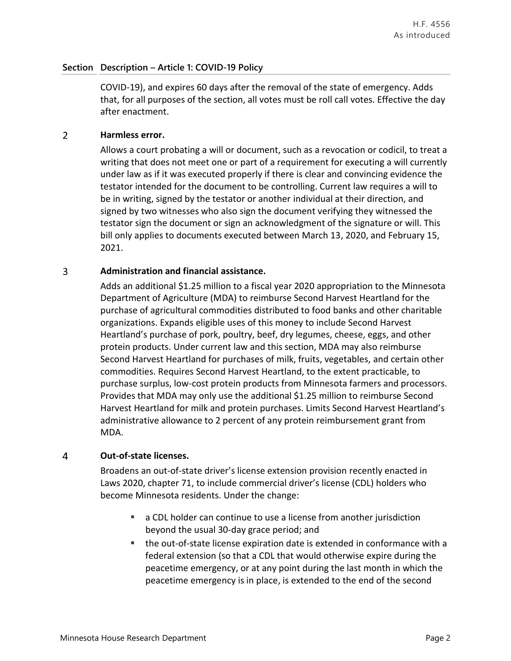COVID-19), and expires 60 days after the removal of the state of emergency. Adds that, for all purposes of the section, all votes must be roll call votes. Effective the day after enactment.

### $\overline{2}$ **Harmless error.**

Allows a court probating a will or document, such as a revocation or codicil, to treat a writing that does not meet one or part of a requirement for executing a will currently under law as if it was executed properly if there is clear and convincing evidence the testator intended for the document to be controlling. Current law requires a will to be in writing, signed by the testator or another individual at their direction, and signed by two witnesses who also sign the document verifying they witnessed the testator sign the document or sign an acknowledgment of the signature or will. This bill only applies to documents executed between March 13, 2020, and February 15, 2021.

### $\overline{3}$ **Administration and financial assistance.**

Adds an additional \$1.25 million to a fiscal year 2020 appropriation to the Minnesota Department of Agriculture (MDA) to reimburse Second Harvest Heartland for the purchase of agricultural commodities distributed to food banks and other charitable organizations. Expands eligible uses of this money to include Second Harvest Heartland's purchase of pork, poultry, beef, dry legumes, cheese, eggs, and other protein products. Under current law and this section, MDA may also reimburse Second Harvest Heartland for purchases of milk, fruits, vegetables, and certain other commodities. Requires Second Harvest Heartland, to the extent practicable, to purchase surplus, low-cost protein products from Minnesota farmers and processors. Provides that MDA may only use the additional \$1.25 million to reimburse Second Harvest Heartland for milk and protein purchases. Limits Second Harvest Heartland's administrative allowance to 2 percent of any protein reimbursement grant from MDA.

### $\overline{4}$ **Out-of-state licenses.**

Broadens an out-of-state driver's license extension provision recently enacted in Laws 2020, chapter 71, to include commercial driver's license (CDL) holders who become Minnesota residents. Under the change:

- a CDL holder can continue to use a license from another jurisdiction beyond the usual 30-day grace period; and
- the out-of-state license expiration date is extended in conformance with a federal extension (so that a CDL that would otherwise expire during the peacetime emergency, or at any point during the last month in which the peacetime emergency is in place, is extended to the end of the second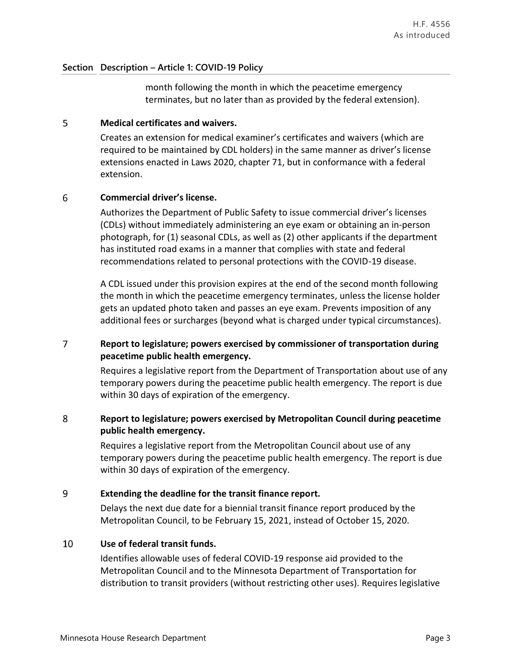month following the month in which the peacetime emergency terminates, but no later than as provided by the federal extension).

#### 5 **Medical certificates and waivers.**

Creates an extension for medical examiner's certificates and waivers (which are required to be maintained by CDL holders) in the same manner as driver's license extensions enacted in Laws 2020, chapter 71, but in conformance with a federal extension.

### 6 **Commercial driver's license.**

Authorizes the Department of Public Safety to issue commercial driver's licenses (CDLs) without immediately administering an eye exam or obtaining an in-person photograph, for (1) seasonal CDLs, as well as (2) other applicants if the department has instituted road exams in a manner that complies with state and federal recommendations related to personal protections with the COVID-19 disease.

A CDL issued under this provision expires at the end of the second month following the month in which the peacetime emergency terminates, unless the license holder gets an updated photo taken and passes an eye exam. Prevents imposition of any additional fees or surcharges (beyond what is charged under typical circumstances).

### $\overline{7}$ **Report to legislature; powers exercised by commissioner of transportation during peacetime public health emergency.**

Requires a legislative report from the Department of Transportation about use of any temporary powers during the peacetime public health emergency. The report is due within 30 days of expiration of the emergency.

### 8 **Report to legislature; powers exercised by Metropolitan Council during peacetime public health emergency.**

Requires a legislative report from the Metropolitan Council about use of any temporary powers during the peacetime public health emergency. The report is due within 30 days of expiration of the emergency.

### 9 **Extending the deadline for the transit finance report.**

Delays the next due date for a biennial transit finance report produced by the Metropolitan Council, to be February 15, 2021, instead of October 15, 2020.

### 10 **Use of federal transit funds.**

Identifies allowable uses of federal COVID-19 response aid provided to the Metropolitan Council and to the Minnesota Department of Transportation for distribution to transit providers (without restricting other uses). Requires legislative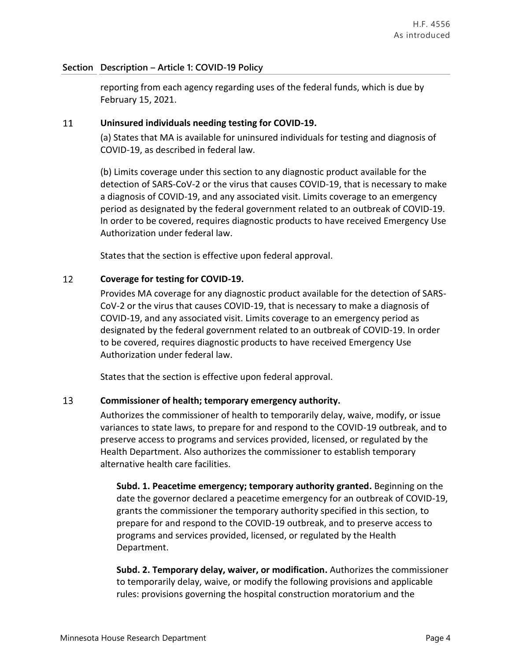reporting from each agency regarding uses of the federal funds, which is due by February 15, 2021.

### 11 **Uninsured individuals needing testing for COVID-19.**

(a) States that MA is available for uninsured individuals for testing and diagnosis of COVID-19, as described in federal law.

(b) Limits coverage under this section to any diagnostic product available for the detection of SARS-CoV-2 or the virus that causes COVID-19, that is necessary to make a diagnosis of COVID-19, and any associated visit. Limits coverage to an emergency period as designated by the federal government related to an outbreak of COVID-19. In order to be covered, requires diagnostic products to have received Emergency Use Authorization under federal law.

States that the section is effective upon federal approval.

### 12 **Coverage for testing for COVID-19.**

Provides MA coverage for any diagnostic product available for the detection of SARS-CoV-2 or the virus that causes COVID-19, that is necessary to make a diagnosis of COVID-19, and any associated visit. Limits coverage to an emergency period as designated by the federal government related to an outbreak of COVID-19. In order to be covered, requires diagnostic products to have received Emergency Use Authorization under federal law.

States that the section is effective upon federal approval.

### 13 **Commissioner of health; temporary emergency authority.**

Authorizes the commissioner of health to temporarily delay, waive, modify, or issue variances to state laws, to prepare for and respond to the COVID-19 outbreak, and to preserve access to programs and services provided, licensed, or regulated by the Health Department. Also authorizes the commissioner to establish temporary alternative health care facilities.

**Subd. 1. Peacetime emergency; temporary authority granted.** Beginning on the date the governor declared a peacetime emergency for an outbreak of COVID-19, grants the commissioner the temporary authority specified in this section, to prepare for and respond to the COVID-19 outbreak, and to preserve access to programs and services provided, licensed, or regulated by the Health Department.

**Subd. 2. Temporary delay, waiver, or modification.** Authorizes the commissioner to temporarily delay, waive, or modify the following provisions and applicable rules: provisions governing the hospital construction moratorium and the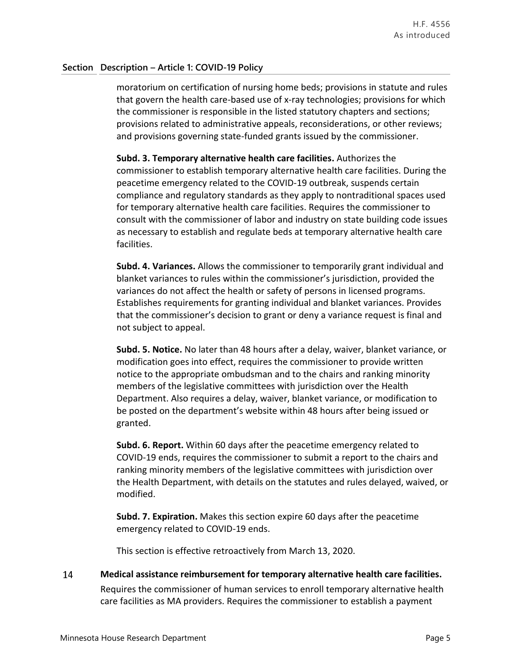moratorium on certification of nursing home beds; provisions in statute and rules that govern the health care-based use of x-ray technologies; provisions for which the commissioner is responsible in the listed statutory chapters and sections; provisions related to administrative appeals, reconsiderations, or other reviews; and provisions governing state-funded grants issued by the commissioner.

**Subd. 3. Temporary alternative health care facilities.** Authorizes the commissioner to establish temporary alternative health care facilities. During the peacetime emergency related to the COVID-19 outbreak, suspends certain compliance and regulatory standards as they apply to nontraditional spaces used for temporary alternative health care facilities. Requires the commissioner to consult with the commissioner of labor and industry on state building code issues as necessary to establish and regulate beds at temporary alternative health care facilities.

**Subd. 4. Variances.** Allows the commissioner to temporarily grant individual and blanket variances to rules within the commissioner's jurisdiction, provided the variances do not affect the health or safety of persons in licensed programs. Establishes requirements for granting individual and blanket variances. Provides that the commissioner's decision to grant or deny a variance request is final and not subject to appeal.

**Subd. 5. Notice.** No later than 48 hours after a delay, waiver, blanket variance, or modification goes into effect, requires the commissioner to provide written notice to the appropriate ombudsman and to the chairs and ranking minority members of the legislative committees with jurisdiction over the Health Department. Also requires a delay, waiver, blanket variance, or modification to be posted on the department's website within 48 hours after being issued or granted.

**Subd. 6. Report.** Within 60 days after the peacetime emergency related to COVID-19 ends, requires the commissioner to submit a report to the chairs and ranking minority members of the legislative committees with jurisdiction over the Health Department, with details on the statutes and rules delayed, waived, or modified.

**Subd. 7. Expiration.** Makes this section expire 60 days after the peacetime emergency related to COVID-19 ends.

This section is effective retroactively from March 13, 2020.

14 **Medical assistance reimbursement for temporary alternative health care facilities.** Requires the commissioner of human services to enroll temporary alternative health care facilities as MA providers. Requires the commissioner to establish a payment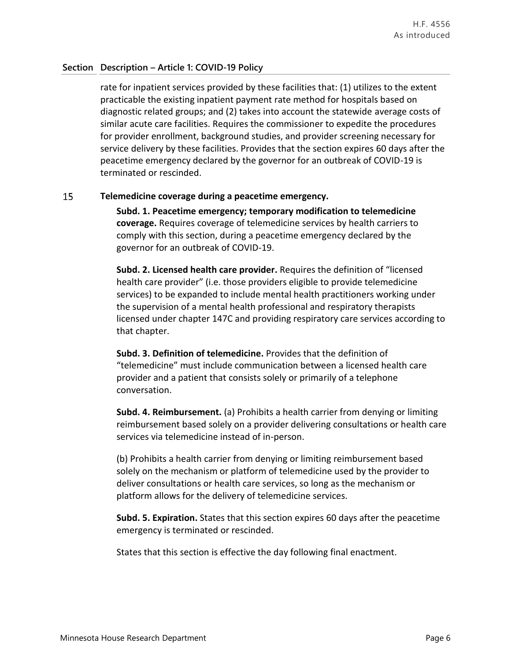rate for inpatient services provided by these facilities that: (1) utilizes to the extent practicable the existing inpatient payment rate method for hospitals based on diagnostic related groups; and (2) takes into account the statewide average costs of similar acute care facilities. Requires the commissioner to expedite the procedures for provider enrollment, background studies, and provider screening necessary for service delivery by these facilities. Provides that the section expires 60 days after the peacetime emergency declared by the governor for an outbreak of COVID-19 is terminated or rescinded.

### 15 **Telemedicine coverage during a peacetime emergency.**

**Subd. 1. Peacetime emergency; temporary modification to telemedicine coverage.** Requires coverage of telemedicine services by health carriers to comply with this section, during a peacetime emergency declared by the governor for an outbreak of COVID-19.

**Subd. 2. Licensed health care provider.** Requires the definition of "licensed health care provider" (i.e. those providers eligible to provide telemedicine services) to be expanded to include mental health practitioners working under the supervision of a mental health professional and respiratory therapists licensed under chapter 147C and providing respiratory care services according to that chapter.

**Subd. 3. Definition of telemedicine.** Provides that the definition of "telemedicine" must include communication between a licensed health care provider and a patient that consists solely or primarily of a telephone conversation.

**Subd. 4. Reimbursement.** (a) Prohibits a health carrier from denying or limiting reimbursement based solely on a provider delivering consultations or health care services via telemedicine instead of in-person.

(b) Prohibits a health carrier from denying or limiting reimbursement based solely on the mechanism or platform of telemedicine used by the provider to deliver consultations or health care services, so long as the mechanism or platform allows for the delivery of telemedicine services.

**Subd. 5. Expiration.** States that this section expires 60 days after the peacetime emergency is terminated or rescinded.

States that this section is effective the day following final enactment.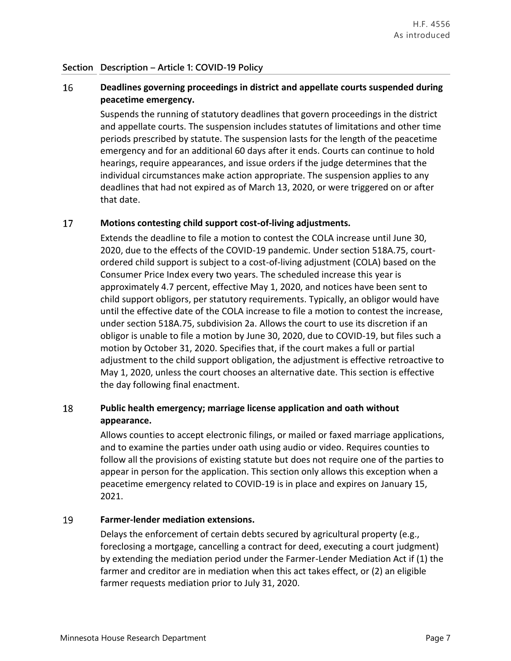### 16 **Deadlines governing proceedings in district and appellate courts suspended during peacetime emergency.**

Suspends the running of statutory deadlines that govern proceedings in the district and appellate courts. The suspension includes statutes of limitations and other time periods prescribed by statute. The suspension lasts for the length of the peacetime emergency and for an additional 60 days after it ends. Courts can continue to hold hearings, require appearances, and issue orders if the judge determines that the individual circumstances make action appropriate. The suspension applies to any deadlines that had not expired as of March 13, 2020, or were triggered on or after that date.

### 17 **Motions contesting child support cost-of-living adjustments.**

Extends the deadline to file a motion to contest the COLA increase until June 30, 2020, due to the effects of the COVID-19 pandemic. Under section 518A.75, courtordered child support is subject to a cost-of-living adjustment (COLA) based on the Consumer Price Index every two years. The scheduled increase this year is approximately 4.7 percent, effective May 1, 2020, and notices have been sent to child support obligors, per statutory requirements. Typically, an obligor would have until the effective date of the COLA increase to file a motion to contest the increase, under section 518A.75, subdivision 2a. Allows the court to use its discretion if an obligor is unable to file a motion by June 30, 2020, due to COVID-19, but files such a motion by October 31, 2020. Specifies that, if the court makes a full or partial adjustment to the child support obligation, the adjustment is effective retroactive to May 1, 2020, unless the court chooses an alternative date. This section is effective the day following final enactment.

### 18 **Public health emergency; marriage license application and oath without appearance.**

Allows counties to accept electronic filings, or mailed or faxed marriage applications, and to examine the parties under oath using audio or video. Requires counties to follow all the provisions of existing statute but does not require one of the parties to appear in person for the application. This section only allows this exception when a peacetime emergency related to COVID-19 is in place and expires on January 15, 2021.

### 19 **Farmer-lender mediation extensions.**

Delays the enforcement of certain debts secured by agricultural property (e.g., foreclosing a mortgage, cancelling a contract for deed, executing a court judgment) by extending the mediation period under the Farmer-Lender Mediation Act if (1) the farmer and creditor are in mediation when this act takes effect, or (2) an eligible farmer requests mediation prior to July 31, 2020.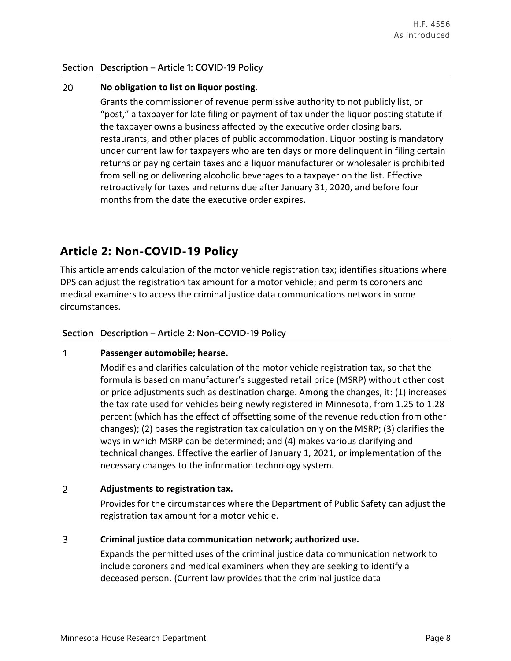### 20 **No obligation to list on liquor posting.**

Grants the commissioner of revenue permissive authority to not publicly list, or "post," a taxpayer for late filing or payment of tax under the liquor posting statute if the taxpayer owns a business affected by the executive order closing bars, restaurants, and other places of public accommodation. Liquor posting is mandatory under current law for taxpayers who are ten days or more delinquent in filing certain returns or paying certain taxes and a liquor manufacturer or wholesaler is prohibited from selling or delivering alcoholic beverages to a taxpayer on the list. Effective retroactively for taxes and returns due after January 31, 2020, and before four months from the date the executive order expires.

# **Article 2: Non-COVID-19 Policy**

This article amends calculation of the motor vehicle registration tax; identifies situations where DPS can adjust the registration tax amount for a motor vehicle; and permits coroners and medical examiners to access the criminal justice data communications network in some circumstances.

## **Section Description – Article 2: Non-COVID-19 Policy**

### $\mathbf{1}$ **Passenger automobile; hearse.**

Modifies and clarifies calculation of the motor vehicle registration tax, so that the formula is based on manufacturer's suggested retail price (MSRP) without other cost or price adjustments such as destination charge. Among the changes, it: (1) increases the tax rate used for vehicles being newly registered in Minnesota, from 1.25 to 1.28 percent (which has the effect of offsetting some of the revenue reduction from other changes); (2) bases the registration tax calculation only on the MSRP; (3) clarifies the ways in which MSRP can be determined; and (4) makes various clarifying and technical changes. Effective the earlier of January 1, 2021, or implementation of the necessary changes to the information technology system.

### $\overline{2}$ **Adjustments to registration tax.**

Provides for the circumstances where the Department of Public Safety can adjust the registration tax amount for a motor vehicle.

### $\overline{3}$ **Criminal justice data communication network; authorized use.**

Expands the permitted uses of the criminal justice data communication network to include coroners and medical examiners when they are seeking to identify a deceased person. (Current law provides that the criminal justice data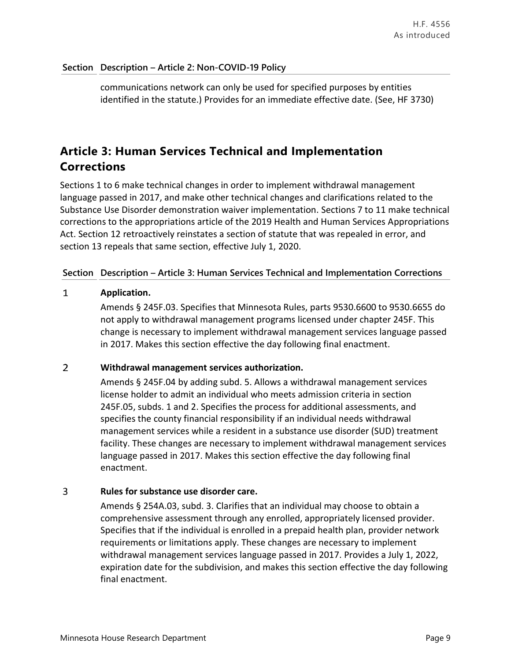communications network can only be used for specified purposes by entities identified in the statute.) Provides for an immediate effective date. (See, HF 3730)

# **Article 3: Human Services Technical and Implementation Corrections**

Sections 1 to 6 make technical changes in order to implement withdrawal management language passed in 2017, and make other technical changes and clarifications related to the Substance Use Disorder demonstration waiver implementation. Sections 7 to 11 make technical corrections to the appropriations article of the 2019 Health and Human Services Appropriations Act. Section 12 retroactively reinstates a section of statute that was repealed in error, and section 13 repeals that same section, effective July 1, 2020.

## **Section Description – Article 3: Human Services Technical and Implementation Corrections**

### $\mathbf{1}$ **Application.**

Amends § 245F.03. Specifies that Minnesota Rules, parts 9530.6600 to 9530.6655 do not apply to withdrawal management programs licensed under chapter 245F. This change is necessary to implement withdrawal management services language passed in 2017. Makes this section effective the day following final enactment.

### $\overline{2}$ **Withdrawal management services authorization.**

Amends § 245F.04 by adding subd. 5. Allows a withdrawal management services license holder to admit an individual who meets admission criteria in section 245F.05, subds. 1 and 2. Specifies the process for additional assessments, and specifies the county financial responsibility if an individual needs withdrawal management services while a resident in a substance use disorder (SUD) treatment facility. These changes are necessary to implement withdrawal management services language passed in 2017. Makes this section effective the day following final enactment.

### $\overline{3}$ **Rules for substance use disorder care.**

Amends § 254A.03, subd. 3. Clarifies that an individual may choose to obtain a comprehensive assessment through any enrolled, appropriately licensed provider. Specifies that if the individual is enrolled in a prepaid health plan, provider network requirements or limitations apply. These changes are necessary to implement withdrawal management services language passed in 2017. Provides a July 1, 2022, expiration date for the subdivision, and makes this section effective the day following final enactment.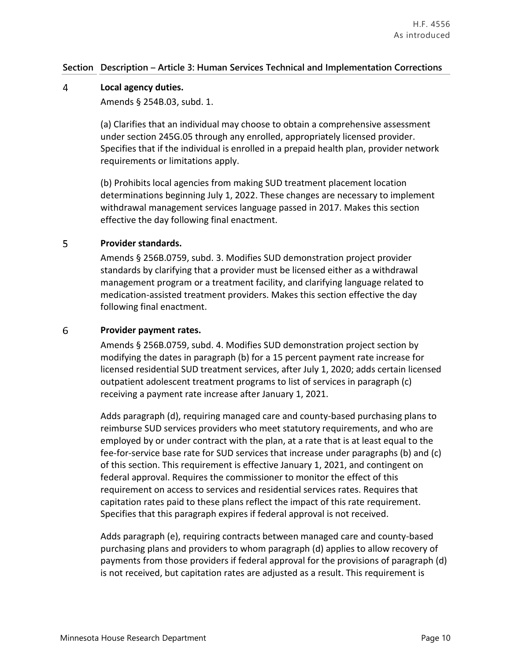## **Section Description – Article 3: Human Services Technical and Implementation Corrections**

### 4 **Local agency duties.**

Amends § 254B.03, subd. 1.

(a) Clarifies that an individual may choose to obtain a comprehensive assessment under section 245G.05 through any enrolled, appropriately licensed provider. Specifies that if the individual is enrolled in a prepaid health plan, provider network requirements or limitations apply.

(b) Prohibits local agencies from making SUD treatment placement location determinations beginning July 1, 2022. These changes are necessary to implement withdrawal management services language passed in 2017. Makes this section effective the day following final enactment.

### 5 **Provider standards.**

Amends § 256B.0759, subd. 3. Modifies SUD demonstration project provider standards by clarifying that a provider must be licensed either as a withdrawal management program or a treatment facility, and clarifying language related to medication-assisted treatment providers. Makes this section effective the day following final enactment.

### 6 **Provider payment rates.**

Amends § 256B.0759, subd. 4. Modifies SUD demonstration project section by modifying the dates in paragraph (b) for a 15 percent payment rate increase for licensed residential SUD treatment services, after July 1, 2020; adds certain licensed outpatient adolescent treatment programs to list of services in paragraph (c) receiving a payment rate increase after January 1, 2021.

Adds paragraph (d), requiring managed care and county-based purchasing plans to reimburse SUD services providers who meet statutory requirements, and who are employed by or under contract with the plan, at a rate that is at least equal to the fee-for-service base rate for SUD services that increase under paragraphs (b) and (c) of this section. This requirement is effective January 1, 2021, and contingent on federal approval. Requires the commissioner to monitor the effect of this requirement on access to services and residential services rates. Requires that capitation rates paid to these plans reflect the impact of this rate requirement. Specifies that this paragraph expires if federal approval is not received.

Adds paragraph (e), requiring contracts between managed care and county-based purchasing plans and providers to whom paragraph (d) applies to allow recovery of payments from those providers if federal approval for the provisions of paragraph (d) is not received, but capitation rates are adjusted as a result. This requirement is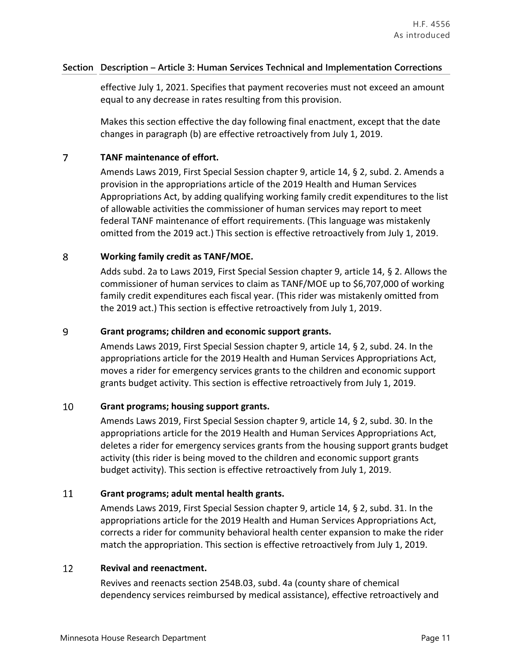## **Section Description – Article 3: Human Services Technical and Implementation Corrections**

effective July 1, 2021. Specifies that payment recoveries must not exceed an amount equal to any decrease in rates resulting from this provision.

Makes this section effective the day following final enactment, except that the date changes in paragraph (b) are effective retroactively from July 1, 2019.

### $\overline{7}$ **TANF maintenance of effort.**

Amends Laws 2019, First Special Session chapter 9, article 14, § 2, subd. 2. Amends a provision in the appropriations article of the 2019 Health and Human Services Appropriations Act, by adding qualifying working family credit expenditures to the list of allowable activities the commissioner of human services may report to meet federal TANF maintenance of effort requirements. (This language was mistakenly omitted from the 2019 act.) This section is effective retroactively from July 1, 2019.

### 8 **Working family credit as TANF/MOE.**

Adds subd. 2a to Laws 2019, First Special Session chapter 9, article 14, § 2. Allows the commissioner of human services to claim as TANF/MOE up to \$6,707,000 of working family credit expenditures each fiscal year. (This rider was mistakenly omitted from the 2019 act.) This section is effective retroactively from July 1, 2019.

### 9 **Grant programs; children and economic support grants.**

Amends Laws 2019, First Special Session chapter 9, article 14, § 2, subd. 24. In the appropriations article for the 2019 Health and Human Services Appropriations Act, moves a rider for emergency services grants to the children and economic support grants budget activity. This section is effective retroactively from July 1, 2019.

### 10 **Grant programs; housing support grants.**

Amends Laws 2019, First Special Session chapter 9, article 14, § 2, subd. 30. In the appropriations article for the 2019 Health and Human Services Appropriations Act, deletes a rider for emergency services grants from the housing support grants budget activity (this rider is being moved to the children and economic support grants budget activity). This section is effective retroactively from July 1, 2019.

### 11 **Grant programs; adult mental health grants.**

Amends Laws 2019, First Special Session chapter 9, article 14, § 2, subd. 31. In the appropriations article for the 2019 Health and Human Services Appropriations Act, corrects a rider for community behavioral health center expansion to make the rider match the appropriation. This section is effective retroactively from July 1, 2019.

### 12 **Revival and reenactment.**

Revives and reenacts section 254B.03, subd. 4a (county share of chemical dependency services reimbursed by medical assistance), effective retroactively and